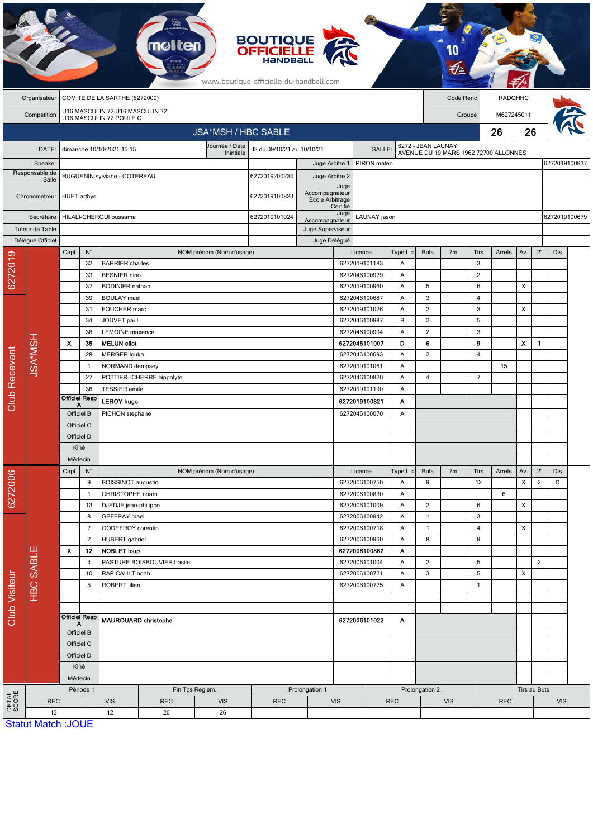|                           |                           |                                             |                                                            |                                        |                            |                             | <b>BOUTIQUE<br/>OFFICIELLE</b><br>www.boutique-officielle-du-handball.com |                                   |                      |                                          |                          |                                |                                                             |                |              |                |                |               |  |
|---------------------------|---------------------------|---------------------------------------------|------------------------------------------------------------|----------------------------------------|----------------------------|-----------------------------|---------------------------------------------------------------------------|-----------------------------------|----------------------|------------------------------------------|--------------------------|--------------------------------|-------------------------------------------------------------|----------------|--------------|----------------|----------------|---------------|--|
|                           | Organisateur              | COMITE DE LA SARTHE (6272000)               |                                                            |                                        |                            |                             |                                                                           |                                   |                      |                                          |                          |                                | Code Renc                                                   |                |              | <b>RADQHHC</b> |                |               |  |
|                           | Compétition               |                                             | U16 MASCULIN 72 U16 MASCULIN 72<br>U16 MASCULIN 72 POULE C |                                        |                            |                             |                                                                           |                                   |                      |                                          |                          | M627245011<br>Groupe           |                                                             |                |              |                |                |               |  |
|                           |                           |                                             |                                                            | <b>JSA*MSH / HBC SABLE</b>             |                            |                             |                                                                           |                                   |                      |                                          |                          |                                | 26                                                          |                |              | 26             |                |               |  |
|                           |                           |                                             |                                                            |                                        |                            |                             |                                                                           |                                   |                      |                                          |                          |                                |                                                             |                |              |                |                |               |  |
|                           | DATE:                     |                                             |                                                            | dimanche 10/10/2021 15:15              |                            | Journée / Date<br>Inintiale | J2 du 09/10/21 au 10/10/21                                                |                                   | SALLE:               |                                          |                          |                                | 6272 - JEAN LAUNAY<br>AVENUE DU 19 MARS 1962 72700 ALLONNES |                |              |                |                |               |  |
| Speaker<br>Responsable de |                           |                                             |                                                            |                                        |                            |                             |                                                                           | Juge Arbitre 1                    |                      | PIRON mateo                              |                          |                                |                                                             |                |              |                |                | 6272019100937 |  |
|                           | Salle                     |                                             |                                                            | HUGUENIN sylviane - COTEREAU           | 6272019200234              | Juge Arbitre 2              | Juge                                                                      |                                   |                      |                                          |                          |                                |                                                             |                |              |                |                |               |  |
|                           | Chronométreur             |                                             | <b>HUET</b> arthys<br>6272019100823                        |                                        |                            |                             |                                                                           | Accompagnateur<br>Ecole Arbitrage | Certifié             |                                          |                          |                                |                                                             |                |              |                |                |               |  |
|                           | Secrétaire                |                                             | HILALI-CHERGUI oussama                                     |                                        |                            |                             |                                                                           | Accompagnateur                    | Juge<br>LAUNAY jason |                                          |                          |                                |                                                             |                |              |                |                | 6272019100679 |  |
| Tuteur de Table           |                           |                                             |                                                            |                                        |                            |                             |                                                                           | Juge Superviseur                  |                      |                                          |                          |                                |                                                             |                |              |                |                |               |  |
|                           | Délégué Officiel          | Capt                                        | $N^{\circ}$                                                |                                        |                            | NOM prénom (Nom d'usage)    |                                                                           | Juge Délégué                      |                      | Licence                                  | Type Lic                 | <b>Buts</b>                    | 7 <sub>m</sub>                                              | <b>Tirs</b>    | Arrets       | Av.            | $2^{\prime}$   | <b>Dis</b>    |  |
| 6272019                   |                           |                                             | 32                                                         | <b>BARRIER</b> charles                 |                            |                             |                                                                           |                                   |                      | 6272019101183                            | A                        |                                |                                                             | 3              |              |                |                |               |  |
|                           |                           |                                             | 33                                                         | <b>BESNIER</b> nino                    |                            |                             |                                                                           |                                   |                      | 6272046100979                            | Α                        |                                |                                                             | $\overline{c}$ |              |                |                |               |  |
|                           |                           |                                             | 37                                                         | <b>BODINIER</b> nathan                 |                            |                             |                                                                           |                                   |                      | 6272019100960                            | Α                        | 5                              |                                                             | 6              |              | X              |                |               |  |
|                           |                           |                                             | 39                                                         | <b>BOULAY</b> mael                     |                            |                             |                                                                           |                                   |                      | 6272046100687                            | Α                        | 3                              |                                                             | $\overline{4}$ |              |                |                |               |  |
|                           |                           |                                             | 31                                                         | FOUCHER marc                           |                            |                             |                                                                           |                                   |                      | 6272019101076                            | Α                        | $\overline{2}$                 |                                                             | 3              |              | X              |                |               |  |
|                           |                           | 34                                          |                                                            | JOUVET paul                            |                            |                             |                                                                           |                                   |                      | 6272046100987                            | B<br>Α                   | 2                              |                                                             | 5              |              |                |                |               |  |
|                           |                           |                                             | 38                                                         | <b>LEMOINE</b> maxence                 |                            |                             |                                                                           |                                   |                      | 6272046100904                            |                          | $\overline{2}$                 |                                                             | 3              |              |                |                |               |  |
|                           |                           | $\boldsymbol{\mathsf{x}}$                   | 35                                                         | <b>MELUN eliot</b>                     |                            | 6272046101007               |                                                                           | D                                 | 6                    |                                          | 9                        |                                | X                                                           | $\mathbf{1}$   |              |                |                |               |  |
|                           | <b>JSA*MSH</b>            |                                             | 28<br>$\mathbf{1}$                                         | <b>MERGER louka</b><br>NORMAND dempsey |                            |                             |                                                                           |                                   |                      | 6272046100693<br>A<br>6272019101061<br>Α |                          | $\overline{2}$                 |                                                             | 4              | 15           |                |                |               |  |
|                           |                           |                                             | 27                                                         |                                        | POTTIER--CHERRE hippolyte  |                             |                                                                           |                                   |                      | 6272046100820                            | Α                        | 4                              |                                                             | $\overline{7}$ |              |                |                |               |  |
|                           |                           |                                             | 36                                                         | <b>TESSIER</b> emile                   |                            |                             |                                                                           |                                   |                      | 6272019101190                            | Α                        |                                |                                                             |                |              |                |                |               |  |
| Club Recevant             |                           |                                             | <b>Officiel Resp</b>                                       | <b>LEROY hugo</b>                      |                            |                             |                                                                           |                                   |                      | 6272019100821                            | Α                        |                                |                                                             |                |              |                |                |               |  |
|                           |                           | Α<br>Officiel B                             |                                                            | PICHON stephane                        |                            |                             |                                                                           | 6272046100070                     |                      |                                          |                          |                                |                                                             |                |              |                |                |               |  |
|                           |                           | Officiel C                                  |                                                            |                                        |                            |                             |                                                                           |                                   |                      |                                          |                          |                                |                                                             |                |              |                |                |               |  |
|                           |                           | Officiel D                                  |                                                            |                                        |                            |                             |                                                                           |                                   |                      |                                          |                          |                                |                                                             |                |              |                |                |               |  |
|                           |                           | Kiné                                        |                                                            |                                        |                            |                             |                                                                           |                                   |                      |                                          |                          |                                |                                                             |                |              |                |                |               |  |
|                           |                           | Médecin                                     |                                                            |                                        |                            |                             |                                                                           |                                   |                      |                                          |                          |                                |                                                             |                |              |                |                |               |  |
|                           |                           | $N^{\circ}$<br>Capt                         |                                                            | NOM prénom (Nom d'usage)               |                            |                             |                                                                           |                                   | Licence<br>Type Lic  |                                          |                          | <b>Buts</b>                    | 7 <sub>m</sub>                                              | Tirs           | Arrets       | Av.            | $2^{\prime}$   | Dis           |  |
| 6272006                   |                           |                                             | 9<br>BOISSINOT augustin                                    |                                        |                            |                             |                                                                           |                                   |                      | 6272006100750                            |                          | 9                              |                                                             | 12             |              | X              | $\overline{2}$ | D             |  |
|                           |                           | $\overline{1}$                              |                                                            |                                        | CHRISTOPHE noam            |                             |                                                                           |                                   |                      | 6272006100830                            | Α                        |                                |                                                             |                | 6            |                |                |               |  |
| Club Visiteur             |                           |                                             | 13<br>8                                                    | DJEDJE jean-philippe<br>GEFFRAY mael   |                            |                             |                                                                           |                                   |                      | 6272006101009<br>6272006100942           | Α<br>Α                   | $\overline{2}$<br>$\mathbf{1}$ |                                                             | 6<br>3         |              | X              |                |               |  |
|                           | <b>HBC SABLE</b>          | $\overline{7}$<br>$\overline{c}$            |                                                            | GODEFROY corentin                      |                            |                             |                                                                           |                                   |                      | 6272006100718                            | Α                        | $\mathbf{1}$                   |                                                             | 4              |              | X              |                |               |  |
|                           |                           |                                             |                                                            | HUBERT gabriel                         |                            |                             |                                                                           |                                   | 6272006100960<br>Α   |                                          |                          | 8                              |                                                             | 9              |              |                |                |               |  |
|                           |                           | x                                           | 12<br><b>NOBLET loup</b>                                   |                                        |                            |                             | 6272006100862<br>Α                                                        |                                   |                      |                                          |                          |                                |                                                             |                |              |                |                |               |  |
|                           |                           |                                             | 4                                                          |                                        | PASTURE BOISBOUVIER basile |                             |                                                                           |                                   |                      | 6272006101004                            | Α                        | $\overline{2}$                 |                                                             | 5              |              |                | $\overline{2}$ |               |  |
|                           |                           | 10                                          |                                                            | RAPICAULT noah                         |                            |                             |                                                                           |                                   | 6272006100721        |                                          | Α                        | 3                              |                                                             | 5              |              | X              |                |               |  |
|                           |                           |                                             | 5<br>ROBERT lilian                                         |                                        |                            | 6272006100775               |                                                                           | Α                                 |                      |                                          | $\mathbf{1}$             |                                |                                                             |                |              |                |                |               |  |
|                           |                           |                                             |                                                            |                                        |                            |                             |                                                                           |                                   |                      |                                          |                          |                                |                                                             |                |              |                |                |               |  |
|                           |                           |                                             | <b>Officiel Resp</b>                                       |                                        |                            |                             |                                                                           |                                   |                      |                                          |                          |                                |                                                             |                |              |                |                |               |  |
|                           |                           | Α<br>Officiel B<br>Officiel C<br>Officiel D |                                                            | <b>MAUROUARD christophe</b>            |                            |                             |                                                                           |                                   | 6272006101022        |                                          | Α                        |                                |                                                             |                |              |                |                |               |  |
|                           |                           |                                             |                                                            |                                        |                            |                             |                                                                           |                                   |                      |                                          |                          |                                |                                                             |                |              |                |                |               |  |
|                           |                           |                                             |                                                            |                                        |                            |                             |                                                                           |                                   |                      |                                          |                          |                                |                                                             |                |              |                |                |               |  |
|                           |                           |                                             | Kiné                                                       |                                        |                            |                             |                                                                           |                                   |                      |                                          |                          |                                |                                                             |                |              |                |                |               |  |
|                           |                           |                                             | Médecin                                                    |                                        |                            |                             |                                                                           |                                   |                      |                                          |                          |                                |                                                             |                |              |                |                |               |  |
| DETAIL<br>SCORE           |                           | Période 1                                   |                                                            |                                        | Fin Tps Reglem.            | Prolongation 1              |                                                                           |                                   |                      |                                          | Prolongation 2           |                                |                                                             |                | Tirs au Buts |                |                |               |  |
|                           | <b>REC</b>                |                                             |                                                            | <b>VIS</b>                             | <b>REC</b>                 | <b>VIS</b>                  | <b>REC</b>                                                                |                                   | <b>VIS</b>           |                                          | <b>REC</b><br><b>VIS</b> |                                |                                                             | <b>REC</b>     |              |                | <b>VIS</b>     |               |  |
|                           | 13                        |                                             |                                                            | 12                                     | 26<br>26                   |                             |                                                                           |                                   |                      |                                          |                          |                                |                                                             |                |              |                |                |               |  |
|                           | <b>Statut Match: JOUE</b> |                                             |                                                            |                                        |                            |                             |                                                                           |                                   |                      |                                          |                          |                                |                                                             |                |              |                |                |               |  |